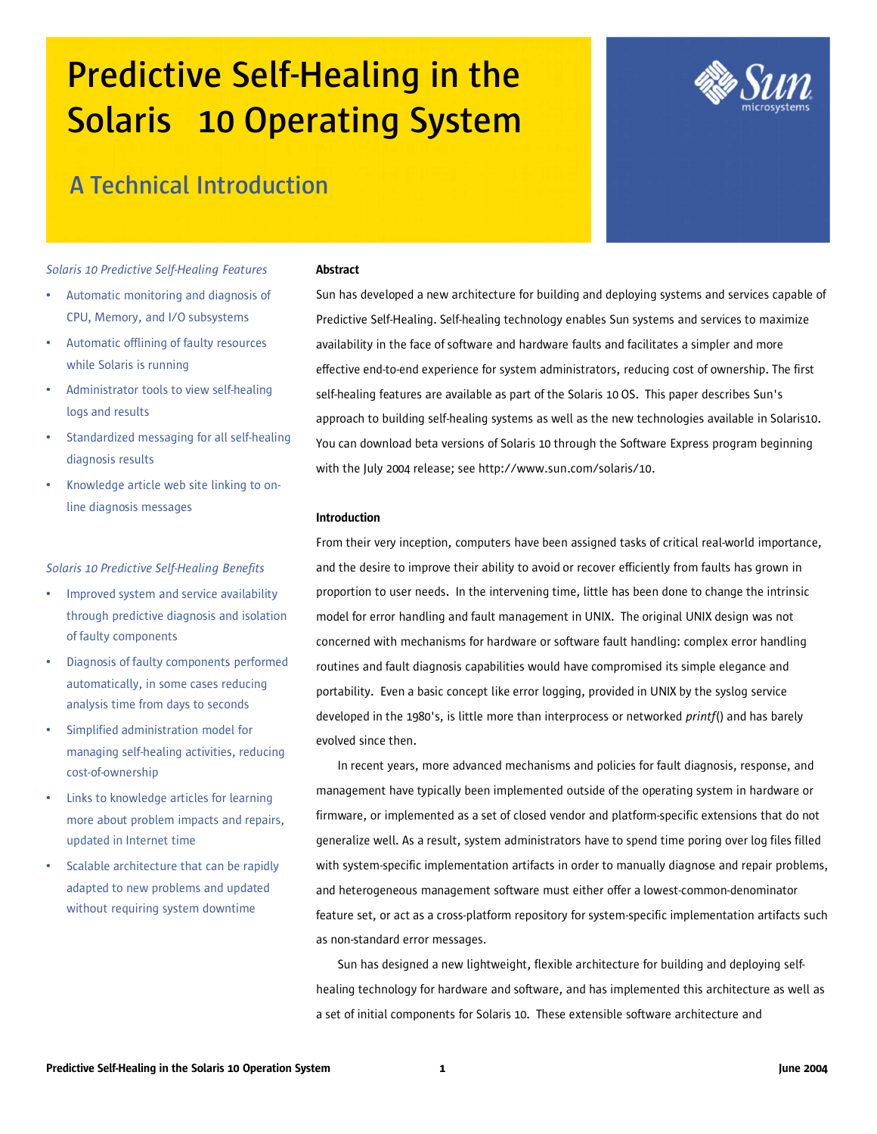# **Predictive Self-Healing in the Solaris 10 Operating System**



# **A Technical Introduction**

*Solaris 10 Predictive Self-Healing Features*

- Automatic monitoring and diagnosis of CPU, Memory, and I/O subsystems
- Automatic offlining of faulty resources while Solaris is running
- Administrator tools to view self-healing logs and results
- Standardized messaging for all self-healing diagnosis results
- Knowledge article web site linking to online diagnosis messages

# *Solaris 10 Predictive Self-Healing Benefits*

- Improved system and service availability through predictive diagnosis and isolation of faulty components
- Diagnosis of faulty components performed automatically, in some cases reducing analysis time from days to seconds
- Simplified administration model for managing self-healing activities, reducing cost-of-ownership
- Links to knowledge articles for learning more about problem impacts and repairs, updated in Internet time
- Scalable architecture that can be rapidly adapted to new problems and updated without requiring system downtime

#### **Abstract**

Sun has developed a new architecture for building and deploying systems and services capable of Predictive Self-Healing. Self-healing technology enables Sun systems and services to maximize availability in the face of software and hardware faults and facilitates a simpler and more effective end-to-end experience for system administrators, reducing cost of ownership. The first self-healing features are available as part of the Solaris 10 OS. This paper describes Sun's approach to building self-healing systems as well as the new technologies available in Solaris10. You can download beta versions of Solaris 10 through the Software Express program beginning with the July 2004 release; see http://www.sun.com/solaris/10.

# Introduction

From their very inception, computers have been assigned tasks of critical real-world importance, and the desire to improve their ability to avoid or recover efficiently from faults has grown in proportion to user needs. In the intervening time, little has been done to change the intrinsic model for error handling and fault management in UNIX. The original UNIX design was not concerned with mechanisms for hardware or software fault handling: complex error handling routines and fault diagnosis capabilities would have compromised its simple elegance and portability. Even a basic concept like error logging, provided in UNIX by the syslog service developed in the 1980's, is little more than interprocess or networked *printf*() and has barely evolved since then.

In recent years, more advanced mechanisms and policies for fault diagnosis, response, and management have typically been implemented outside of the operating system in hardware or firmware, or implemented as a set of closed vendor and platform-specific extensions that do not generalize well. As a result, system administrators have to spend time poring over log files filled with system-specific implementation artifacts in order to manually diagnose and repair problems, and heterogeneous management software must either offer a lowest-common-denominator feature set, or act as a cross-platform repository for system-specific implementation artifacts such as non-standard error messages.

Sun has designed a new lightweight, flexible architecture for building and deploying selfhealing technology for hardware and software, and has implemented this architecture as well as a set of initial components for Solaris 10. These extensible software architecture and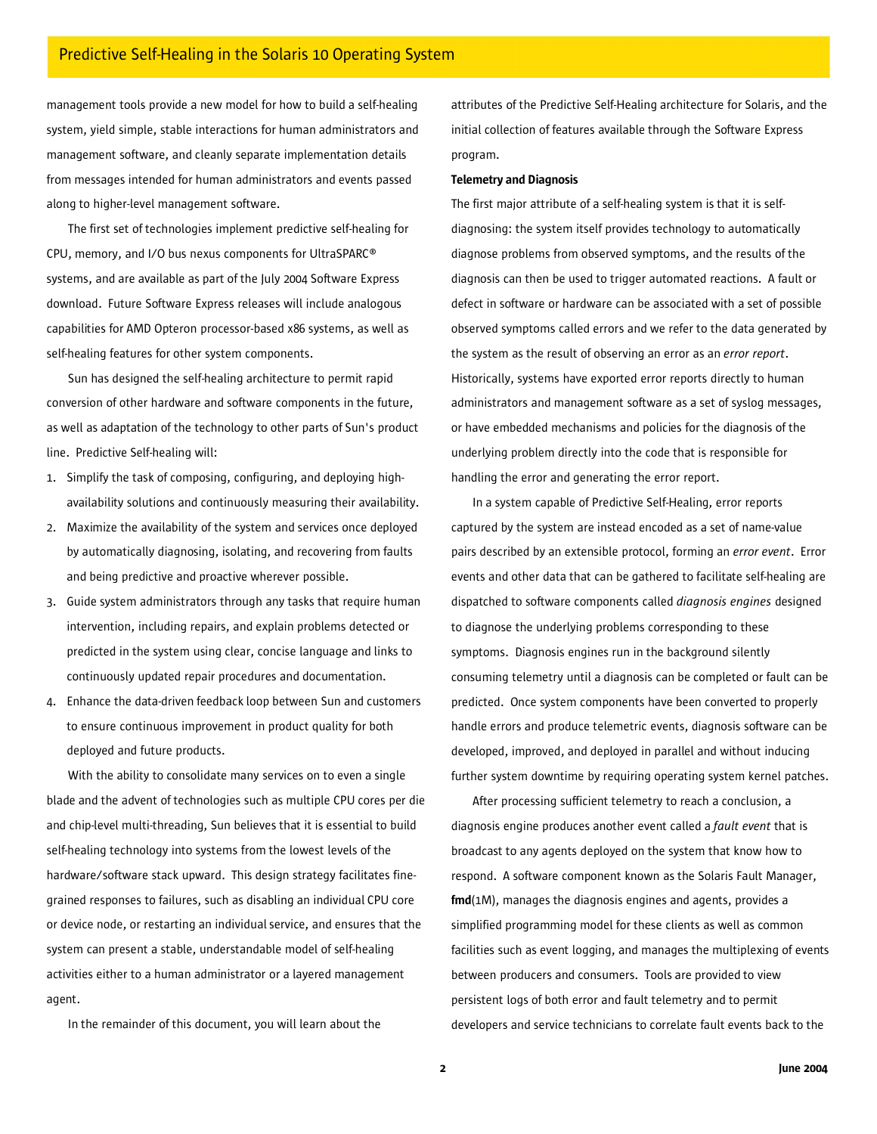management tools provide a new model for how to build a self-healing system, yield simple, stable interactions for human administrators and management software, and cleanly separate implementation details from messages intended for human administrators and events passed along to higher-level management software.

The first set of technologies implement predictive self-healing for CPU, memory, and I/O bus nexus components for UltraSPARC® systems, and are available as part of the July 2004 Software Express download. Future Software Express releases will include analogous capabilities for AMD Opteron processor-based x86 systems, as well as self-healing features for other system components.

Sun has designed the self-healing architecture to permit rapid conversion of other hardware and software components in the future, as well as adaptation of the technology to other parts of Sun's product line. Predictive Self-healing will:

- 1. Simplify the task of composing, configuring, and deploying highavailability solutions and continuously measuring their availability.
- 2. Maximize the availability of the system and services once deployed by automatically diagnosing, isolating, and recovering from faults and being predictive and proactive wherever possible.
- 3. Guide system administrators through any tasks that require human intervention, including repairs, and explain problems detected or predicted in the system using clear, concise language and links to continuously updated repair procedures and documentation.
- 4. Enhance the data-driven feedback loop between Sun and customers to ensure continuous improvement in product quality for both deployed and future products.

With the ability to consolidate many services on to even a single blade and the advent of technologies such as multiple CPU cores per die and chip-level multi-threading, Sun believes that it is essential to build self-healing technology into systems from the lowest levels of the hardware/software stack upward. This design strategy facilitates finegrained responses to failures, such as disabling an individual CPU core or device node, or restarting an individualservice, and ensures that the system can present a stable, understandable model of self-healing activities either to a human administrator or a layered management agent.

In the remainder of this document, you will learn about the

attributes of the Predictive Self-Healing architecture for Solaris, and the initial collection of features available through the Software Express program.

#### Telemetry and Diagnosis

The first major attribute of a self-healing system is that it is selfdiagnosing: the system itself provides technology to automatically diagnose problems from observed symptoms, and the results of the diagnosis can then be used to trigger automated reactions. A fault or defect in software or hardware can be associated with a set of possible observed symptoms called errors and we refer to the data generated by the system as the result of observing an error as an *error report*. Historically, systems have exported error reports directly to human administrators and management software as a set of syslog messages, or have embedded mechanisms and policies for the diagnosis of the underlying problem directly into the code that is responsible for handling the error and generating the error report.

In a system capable of Predictive Self-Healing, error reports captured by the system are instead encoded as a set of name-value pairs described by an extensible protocol, forming an *error event*. Error events and other data that can be gathered to facilitate self-healing are dispatched to software components called *diagnosis engines* designed to diagnose the underlying problems corresponding to these symptoms. Diagnosis engines run in the background silently consuming telemetry until a diagnosis can be completed or fault can be predicted. Once system components have been converted to properly handle errors and produce telemetric events, diagnosis software can be developed, improved, and deployed in parallel and without inducing further system downtime by requiring operating system kernel patches.

After processing sufficient telemetry to reach a conclusion, a diagnosis engine produces another event called a *fault event* that is broadcast to any agents deployed on the system that know how to respond. A software component known as the Solaris Fault Manager, fmd(1M), manages the diagnosis engines and agents, provides a simplified programming model for these clients as well as common facilities such as event logging, and manages the multiplexing of events between producers and consumers. Tools are provided to view persistent logs of both error and fault telemetry and to permit developers and service technicians to correlate fault events back to the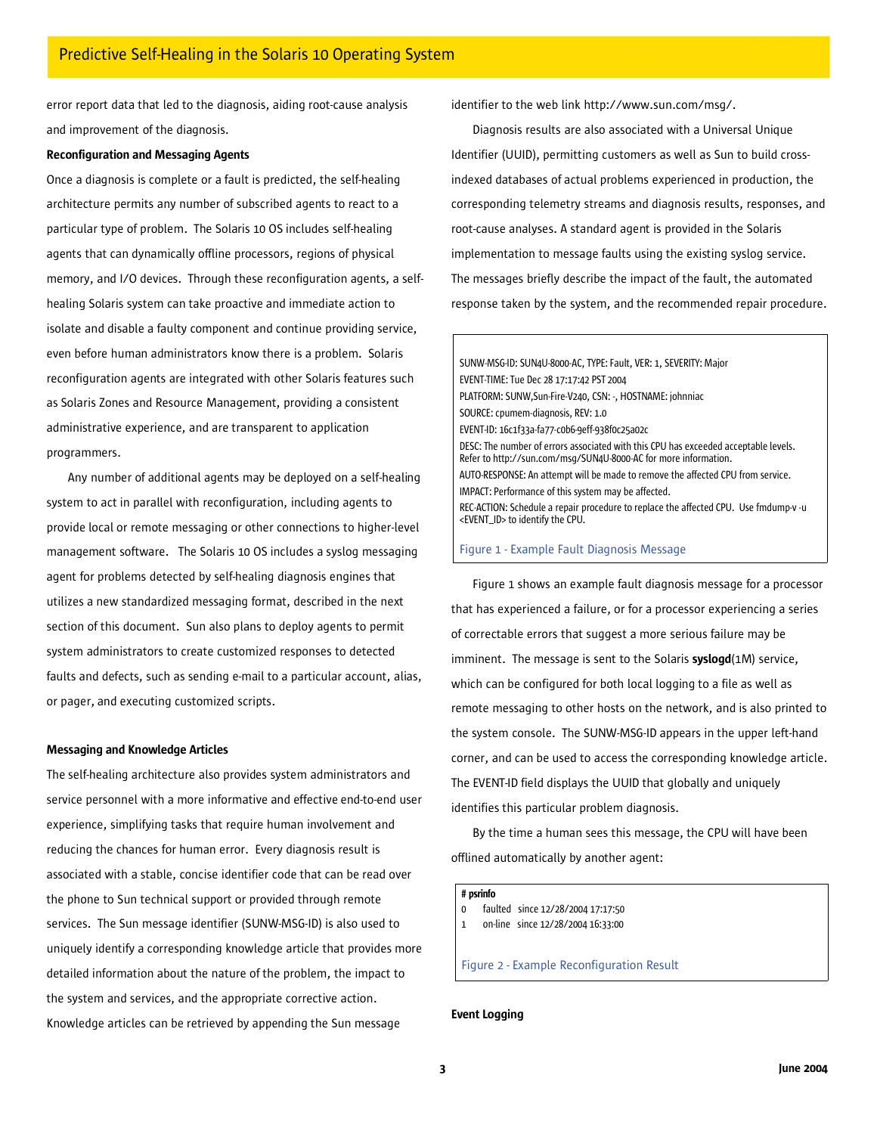error report data that led to the diagnosis, aiding root-cause analysis and improvement of the diagnosis.

#### Reconfiguration and Messaging Agents

Once a diagnosis is complete or a fault is predicted, the self-healing architecture permits any number of subscribed agents to react to a particular type of problem. The Solaris 10 OS includes self-healing agents that can dynamically offline processors, regions of physical memory, and I/O devices. Through these reconfiguration agents, a selfhealing Solaris system can take proactive and immediate action to isolate and disable a faulty component and continue providing service, even before human administrators know there is a problem. Solaris reconfiguration agents are integrated with other Solaris features such as Solaris Zones and Resource Management, providing a consistent administrative experience, and are transparent to application programmers.

Any number of additional agents may be deployed on a self-healing system to act in parallel with reconfiguration, including agents to provide local or remote messaging or other connections to higher-level management software. The Solaris 10 OS includes a syslog messaging agent for problems detected by self-healing diagnosis engines that utilizes a new standardized messaging format, described in the next section of this document. Sun also plans to deploy agents to permit system administrators to create customized responses to detected faults and defects, such as sending e-mail to a particular account, alias, or pager, and executing customized scripts.

#### Messaging and Knowledge Articles

The self-healing architecture also provides system administrators and service personnel with a more informative and effective end-to-end user experience, simplifying tasks that require human involvement and reducing the chances for human error. Every diagnosis result is associated with a stable, concise identifier code that can be read over the phone to Sun technical support or provided through remote services. The Sun message identifier (SUNW-MSG-ID) is also used to uniquely identify a corresponding knowledge article that provides more detailed information about the nature of the problem, the impact to the system and services, and the appropriate corrective action. Knowledge articles can be retrieved by appending the Sun message

identifier to the web link http://www.sun.com/msg/.

Diagnosis results are also associated with a Universal Unique Identifier (UUID), permitting customers as well as Sun to build crossindexed databases of actual problems experienced in production, the corresponding telemetry streams and diagnosis results, responses, and root-cause analyses. A standard agent is provided in the Solaris implementation to message faults using the existing syslog service. The messages briefly describe the impact of the fault, the automated response taken by the system, and the recommended repair procedure.

SUNW-MSG-ID: SUN4U-8000-AC, TYPE: Fault, VER: 1, SEVERITY: Major EVENT-TIME: Tue Dec 28 17:17:42 PST 2004 PLATFORM: SUNW,Sun-Fire-V240, CSN: -, HOSTNAME: johnniac SOURCE: cpumem-diagnosis, REV: 1.0 EVENT-ID: 16c1f33a-fa77-c0b6-9eff-938f0c25a02c DESC: The number of errors associated with this CPU has exceeded acceptable levels. Refer to http://sun.com/msg/SUN4U-8000-AC for more information. AUTO-RESPONSE: An attempt will be made to remove the affected CPU from service. IMPACT: Performance of this system may be affected. REC-ACTION: Schedule a repair procedure to replace the affected CPU. Use fmdump-v -u <EVENT\_ID> to identify the CPU.

#### Figure 1 - Example Fault Diagnosis Message

Figure 1 shows an example fault diagnosis message for a processor that has experienced a failure, or for a processor experiencing a series of correctable errors that suggest a more serious failure may be imminent. The message is sent to the Solaris syslogd(1M) service, which can be configured for both local logging to a file as well as remote messaging to other hosts on the network, and is also printed to the system console. The SUNW-MSG-ID appears in the upper left-hand corner, and can be used to access the corresponding knowledge article. The EVENT-ID field displays the UUID that globally and uniquely identifies this particular problem diagnosis.

By the time a human sees this message, the CPU will have been offlined automatically by another agent:

#### # psrinfo

- 0 faulted since 12/28/2004 17:17:50
- 1 on-line since 12/28/2004 16:33:00

Figure 2 - Example Reconfiguration Result

# Event Logging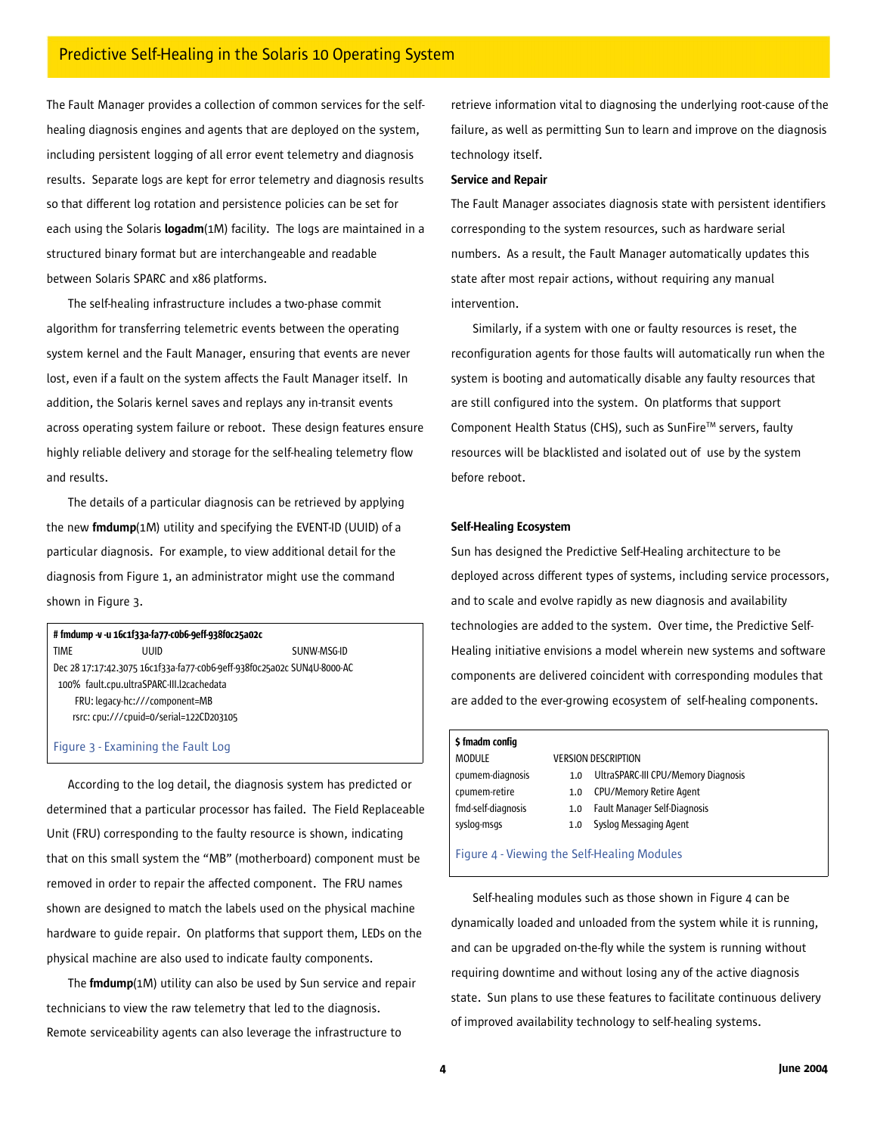The Fault Manager provides a collection of common services for the selfhealing diagnosis engines and agents that are deployed on the system, including persistent logging of all error event telemetry and diagnosis results. Separate logs are kept for error telemetry and diagnosis results so that different log rotation and persistence policies can be set for each using the Solaris logadm(1M) facility. The logs are maintained in a structured binary format but are interchangeable and readable between Solaris SPARC and x86 platforms.

The self-healing infrastructure includes a two-phase commit algorithm for transferring telemetric events between the operating system kernel and the Fault Manager, ensuring that events are never lost, even if a fault on the system affects the Fault Manager itself. In addition, the Solaris kernel saves and replays any in-transit events across operating system failure or reboot. These design features ensure highly reliable delivery and storage for the self-healing telemetry flow and results.

The details of a particular diagnosis can be retrieved by applying the new fmdump(1M) utility and specifying the EVENT-ID (UUID) of a particular diagnosis. For example, to view additional detail for the diagnosis from Figure 1, an administrator might use the command shown in Figure 3.

# # fmdump -v-u 16c1f33a-fa77-c0b6-9eff-938f0c25a02c TIME UUID SUNW-MSG-ID Dec 28 17:17:42.3075 16c1f33a-fa77-c0b6-9eff-938f0c25a02c SUN4U-8000-AC 100% fault.cpu.ultraSPARC-III.l2cachedata FRU: legacy-hc:///component=MB rsrc: cpu:///cpuid=0/serial=122CD203105

#### Figure 3 - Examining the Fault Log

According to the log detail, the diagnosis system has predicted or determined that a particular processor has failed. The Field Replaceable Unit (FRU) corresponding to the faulty resource is shown, indicating that on this small system the "MB" (motherboard) component must be removed in order to repair the affected component. The FRU names shown are designed to match the labels used on the physical machine hardware to guide repair. On platforms that support them, LEDs on the physical machine are also used to indicate faulty components.

The fmdump(1M) utility can also be used by Sun service and repair technicians to view the raw telemetry that led to the diagnosis. Remote serviceability agents can also leverage the infrastructure to

retrieve information vital to diagnosing the underlying root-cause of the failure, as well as permitting Sun to learn and improve on the diagnosis technology itself.

#### Service and Repair

The Fault Manager associates diagnosis state with persistent identifiers corresponding to the system resources, such as hardware serial numbers. As a result, the Fault Manager automatically updates this state after most repair actions, without requiring any manual intervention.

Similarly, if a system with one or faulty resources is reset, the reconfiguration agents for those faults will automatically run when the system is booting and automatically disable any faulty resources that are still configured into the system. On platforms that support Component Health Status (CHS), such as SunFire™ servers, faulty resources will be blacklisted and isolated out of use by the system before reboot.

## Self-Healing Ecosystem

Sun has designed the Predictive Self-Healing architecture to be deployed across different types of systems, including service processors, and to scale and evolve rapidly as new diagnosis and availability technologies are added to the system. Over time, the Predictive Self-Healing initiative envisions a model wherein new systems and software components are delivered coincident with corresponding modules that are added to the ever-growing ecosystem of self-healing components.

#### \$ fmadm config

cpumem-retire 1.0 CPU/Memory Retire Agent syslog-msgs 1.0 Syslog Messaging Agent

MODULE VERSION DESCRIPTION

cpumem-diagnosis 1.0 UltraSPARC-III CPU/Memory Diagnosis

fmd-self-diagnosis 1.0 Fault Manager Self-Diagnosis

Figure 4 - Viewing the Self-Healing Modules

Self-healing modules such as those shown in Figure 4 can be dynamically loaded and unloaded from the system while it is running, and can be upgraded on-the-fly while the system is running without requiring downtime and without losing any of the active diagnosis state. Sun plans to use these features to facilitate continuous delivery of improved availability technology to self-healing systems.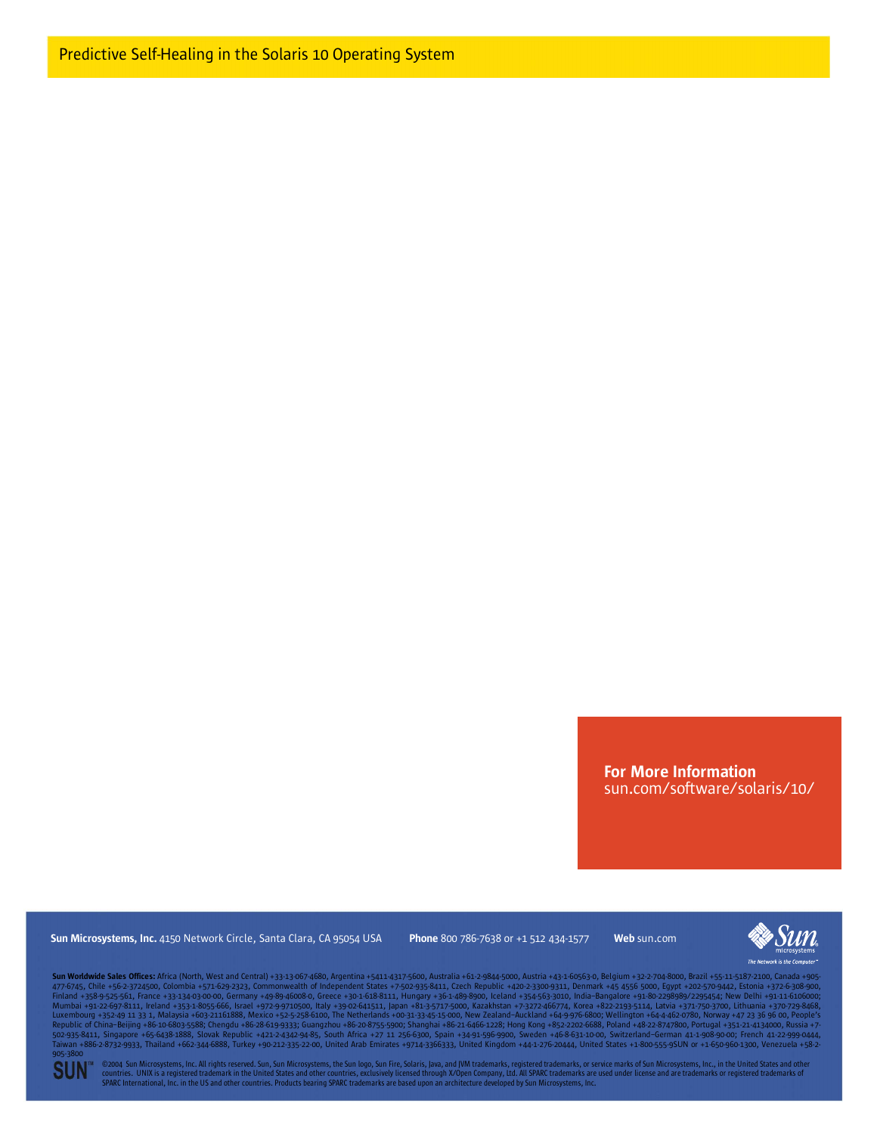For More Information sun.com/software/solaris/10/

Sun Microsystems, Inc. 4150 Network Circle, Santa Clara, CA 95054 USA Phone 800 786-7638 or +1 512 434-1577 Web sun.com



Sun Worldwide Sales Offices: Africa (North, West and Central) +33-13-057-4680, Argentina +5411-4317-5600, Australia +61-2-9844-5000, Austrai +43-1-60563-0, Belgium +32-2704-8000, Brazil +55-11-5187-2100, Canada +905-<br>4776 905-3800

©2004 Sun Microsystems, Inc. All rights reserved. Sun, Sun Microsystems, the Sun logo, Sun Fire, Solaris, Java, and JVM trademarks, registered trademarks, or service marks of Sun Microsystems, Inc., in the United States a